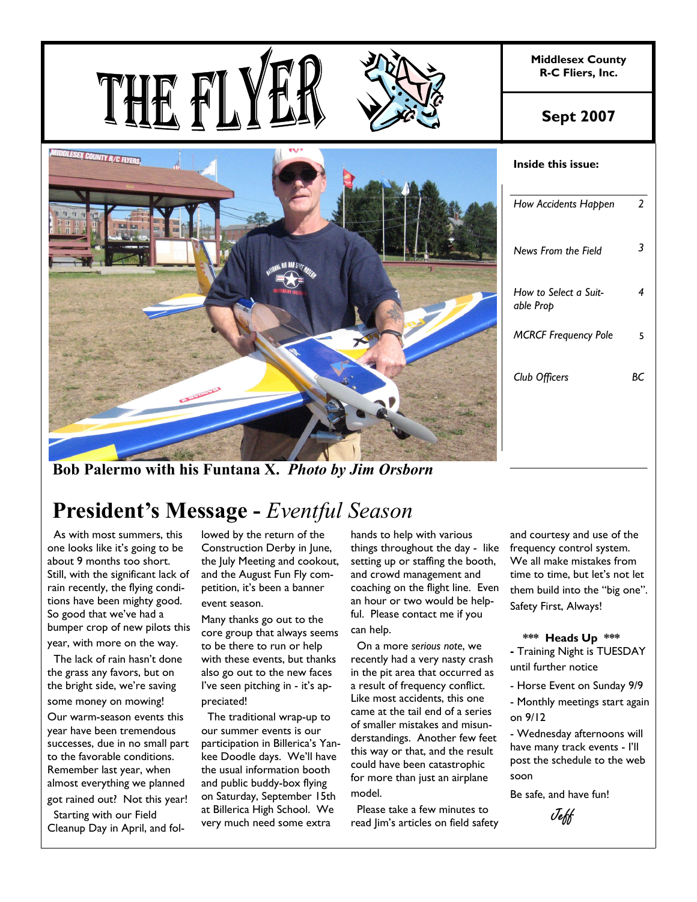

**Bob Palermo with his Funtana X.** *Photo by Jim Orsborn*

# **President's Message -** *Eventful Season*

 As with most summers, this one looks like it's going to be about 9 months too short. Still, with the significant lack of rain recently, the flying conditions have been mighty good. So good that we've had a bumper crop of new pilots this year, with more on the way.

 The lack of rain hasn't done the grass any favors, but on the bright side, we're saving some money on mowing!

Our warm-season events this year have been tremendous successes, due in no small part to the favorable conditions. Remember last year, when almost everything we planned got rained out? Not this year!

 Starting with our Field Cleanup Day in April, and followed by the return of the Construction Derby in June, the July Meeting and cookout, and the August Fun Fly competition, it's been a banner event season.

Many thanks go out to the core group that always seems to be there to run or help with these events, but thanks also go out to the new faces I've seen pitching in - it's appreciated!

 The traditional wrap-up to our summer events is our participation in Billerica's Yankee Doodle days. We'll have the usual information booth and public buddy-box flying on Saturday, September 15th at Billerica High School. We very much need some extra

hands to help with various things throughout the day - like setting up or staffing the booth, and crowd management and coaching on the flight line. Even an hour or two would be helpful. Please contact me if you can help.

 On a more *serious note*, we recently had a very nasty crash in the pit area that occurred as a result of frequency conflict. Like most accidents, this one came at the tail end of a series of smaller mistakes and misunderstandings. Another few feet this way or that, and the result could have been catastrophic for more than just an airplane model.

 Please take a few minutes to read Jim's articles on field safety

and courtesy and use of the frequency control system. We all make mistakes from time to time, but let's not let them build into the "big one". Safety First, Always!

#### **\*\*\* Heads Up \*\*\***

**-** Training Night is TUESDAY until further notice

- Horse Event on Sunday 9/9

- Monthly meetings start again on 9/12

- Wednesday afternoons will have many track events - I'll post the schedule to the web soon

Be safe, and have fun!

Jeff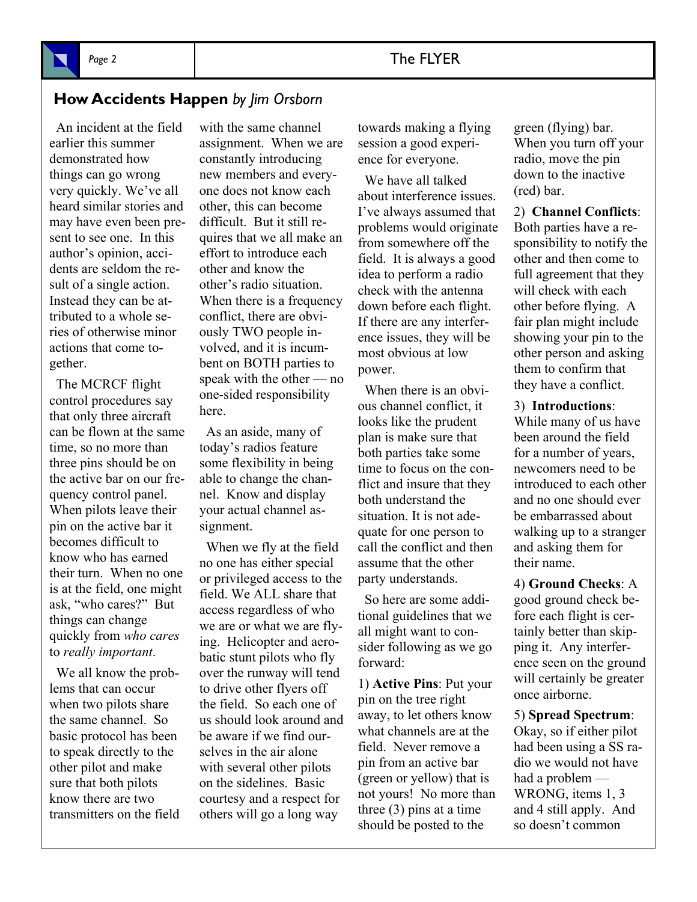## **How Accidents Happen** *by Jim Orsborn*

 An incident at the field earlier this summer demonstrated how things can go wrong very quickly. We've all heard similar stories and may have even been present to see one. In this author's opinion, accidents are seldom the result of a single action. Instead they can be attributed to a whole series of otherwise minor actions that come together.

 The MCRCF flight control procedures say that only three aircraft can be flown at the same time, so no more than three pins should be on the active bar on our frequency control panel. When pilots leave their pin on the active bar it becomes difficult to know who has earned their turn. When no one is at the field, one might ask, "who cares?" But things can change quickly from *who cares* to *really important*.

 We all know the problems that can occur when two pilots share the same channel. So basic protocol has been to speak directly to the other pilot and make sure that both pilots know there are two transmitters on the field with the same channel assignment. When we are constantly introducing new members and everyone does not know each other, this can become difficult. But it still requires that we all make an effort to introduce each other and know the other's radio situation. When there is a frequency conflict, there are obviously TWO people involved, and it is incumbent on BOTH parties to speak with the other — no one-sided responsibility here.

 As an aside, many of today's radios feature some flexibility in being able to change the channel. Know and display your actual channel assignment.

 When we fly at the field no one has either special or privileged access to the field. We ALL share that access regardless of who we are or what we are flying. Helicopter and aerobatic stunt pilots who fly over the runway will tend to drive other flyers off the field. So each one of us should look around and be aware if we find ourselves in the air alone with several other pilots on the sidelines. Basic courtesy and a respect for others will go a long way

towards making a flying session a good experience for everyone.

 We have all talked about interference issues. I've always assumed that problems would originate from somewhere off the field. It is always a good idea to perform a radio check with the antenna down before each flight. If there are any interference issues, they will be most obvious at low power.

 When there is an obvious channel conflict, it looks like the prudent plan is make sure that both parties take some time to focus on the conflict and insure that they both understand the situation. It is not adequate for one person to call the conflict and then assume that the other party understands.

 So here are some additional guidelines that we all might want to consider following as we go forward:

1) **Active Pins**: Put your pin on the tree right away, to let others know what channels are at the field. Never remove a pin from an active bar (green or yellow) that is not yours! No more than three (3) pins at a time should be posted to the

green (flying) bar. When you turn off your radio, move the pin down to the inactive (red) bar.

2) **Channel Conflicts**: Both parties have a responsibility to notify the other and then come to full agreement that they will check with each other before flying. A fair plan might include showing your pin to the other person and asking them to confirm that they have a conflict.

3) **Introductions**:

While many of us have been around the field for a number of years, newcomers need to be introduced to each other and no one should ever be embarrassed about walking up to a stranger and asking them for their name.

4) **Ground Checks**: A good ground check before each flight is certainly better than skipping it. Any interference seen on the ground will certainly be greater once airborne.

5) **Spread Spectrum**: Okay, so if either pilot had been using a SS radio we would not have had a problem — WRONG, items 1, 3 and 4 still apply. And so doesn't common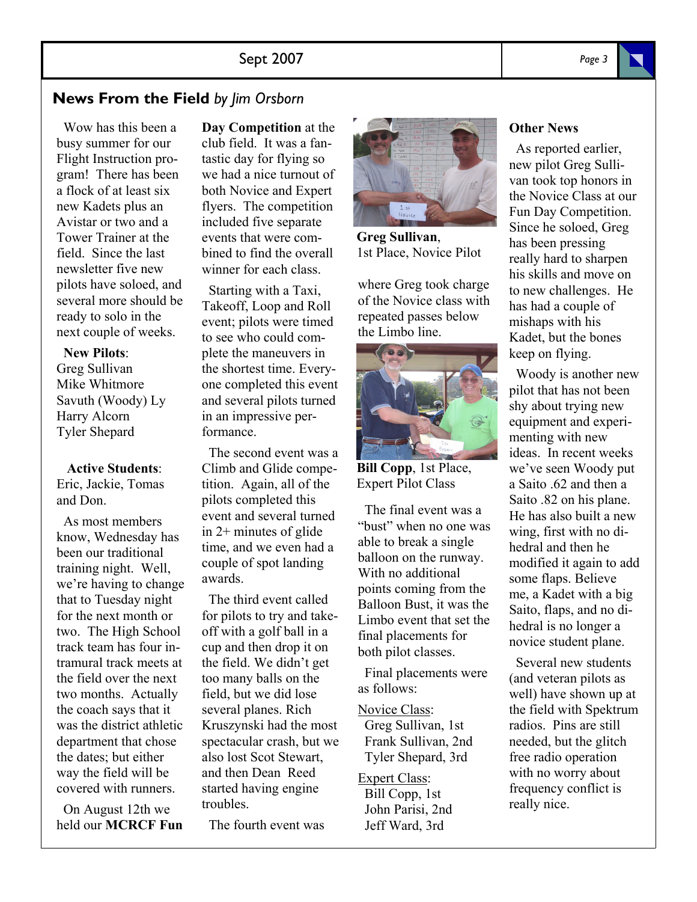## **News From the Field** *by Jim Orsborn*

 Wow has this been a busy summer for our Flight Instruction program! There has been a flock of at least six new Kadets plus an Avistar or two and a Tower Trainer at the field. Since the last newsletter five new pilots have soloed, and several more should be ready to solo in the next couple of weeks.

### **New Pilots**:

Greg Sullivan Mike Whitmore Savuth (Woody) Ly Harry Alcorn Tyler Shepard

#### **Active Students**:

Eric, Jackie, Tomas and Don.

 As most members know, Wednesday has been our traditional training night. Well, we're having to change that to Tuesday night for the next month or two. The High School track team has four intramural track meets at the field over the next two months. Actually the coach says that it was the district athletic department that chose the dates; but either way the field will be covered with runners.

 On August 12th we held our **MCRCF Fun**  **Day Competition** at the club field. It was a fantastic day for flying so we had a nice turnout of both Novice and Expert flyers. The competition included five separate events that were combined to find the overall winner for each class.

 Starting with a Taxi, Takeoff, Loop and Roll event; pilots were timed to see who could complete the maneuvers in the shortest time. Everyone completed this event and several pilots turned in an impressive performance.

 The second event was a Climb and Glide competition. Again, all of the pilots completed this event and several turned in 2+ minutes of glide time, and we even had a couple of spot landing awards.

 The third event called for pilots to try and takeoff with a golf ball in a cup and then drop it on the field. We didn't get too many balls on the field, but we did lose several planes. Rich Kruszynski had the most spectacular crash, but we also lost Scot Stewart, and then Dean Reed started having engine troubles.

The fourth event was



**Greg Sullivan**, 1st Place, Novice Pilot

where Greg took charge of the Novice class with repeated passes below the Limbo line.



**Bill Copp**, 1st Place, Expert Pilot Class

 The final event was a "bust" when no one was able to break a single balloon on the runway. With no additional points coming from the Balloon Bust, it was the Limbo event that set the final placements for both pilot classes.

 Final placements were as follows:

Novice Class:

 Greg Sullivan, 1st Frank Sullivan, 2nd Tyler Shepard, 3rd

Expert Class: Bill Copp, 1st John Parisi, 2nd Jeff Ward, 3rd

## **Other News**

 As reported earlier, new pilot Greg Sullivan took top honors in the Novice Class at our Fun Day Competition. Since he soloed, Greg has been pressing really hard to sharpen his skills and move on to new challenges. He has had a couple of mishaps with his Kadet, but the bones keep on flying.

 Woody is another new pilot that has not been shy about trying new equipment and experimenting with new ideas. In recent weeks we've seen Woody put a Saito .62 and then a Saito .82 on his plane. He has also built a new wing, first with no dihedral and then he modified it again to add some flaps. Believe me, a Kadet with a big Saito, flaps, and no dihedral is no longer a novice student plane.

 Several new students (and veteran pilots as well) have shown up at the field with Spektrum radios. Pins are still needed, but the glitch free radio operation with no worry about frequency conflict is really nice.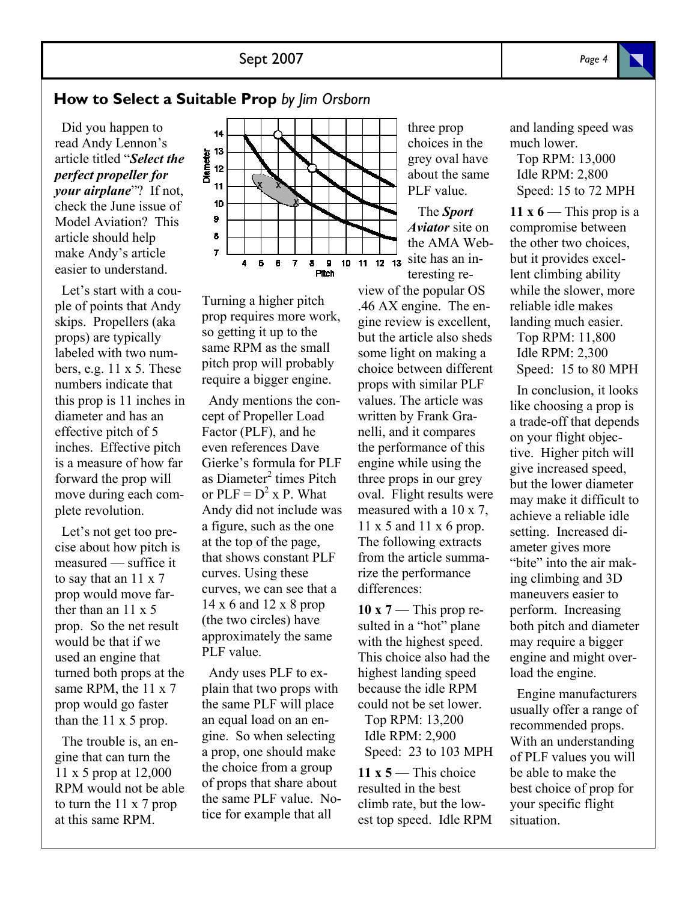## **How to Select a Suitable Prop** *by Jim Orsborn*

 Did you happen to read Andy Lennon's article titled "*Select the perfect propeller for your airplane*"? If not, check the June issue of Model Aviation? This article should help make Andy's article easier to understand.

 Let's start with a couple of points that Andy skips. Propellers (aka props) are typically labeled with two numbers, e.g. 11 x 5. These numbers indicate that this prop is 11 inches in diameter and has an effective pitch of 5 inches. Effective pitch is a measure of how far forward the prop will move during each complete revolution.

 Let's not get too precise about how pitch is measured — suffice it to say that an 11 x 7 prop would move farther than an 11 x 5 prop. So the net result would be that if we used an engine that turned both props at the same RPM, the 11 x 7 prop would go faster than the 11 x 5 prop.

 The trouble is, an engine that can turn the 11 x 5 prop at 12,000 RPM would not be able to turn the 11 x 7 prop at this same RPM.



Turning a higher pitch prop requires more work, so getting it up to the same RPM as the small pitch prop will probably require a bigger engine.

 Andy mentions the concept of Propeller Load Factor (PLF), and he even references Dave Gierke's formula for PLF as Diameter<sup>2</sup> times Pitch or  $PLF = D^2$  x P. What Andy did not include was a figure, such as the one at the top of the page, that shows constant PLF curves. Using these curves, we can see that a 14 x 6 and 12 x 8 prop (the two circles) have approximately the same PLF value.

 Andy uses PLF to explain that two props with the same PLF will place an equal load on an engine. So when selecting a prop, one should make the choice from a group of props that share about the same PLF value. Notice for example that all

three prop choices in the grey oval have about the same PLF value.

 The *Sport Aviator* site on the AMA Web- $\frac{1}{10}$  11 12 13 site has an interesting re-

> view of the popular OS .46 AX engine. The engine review is excellent, but the article also sheds some light on making a choice between different props with similar PLF values. The article was written by Frank Granelli, and it compares the performance of this engine while using the three props in our grey oval. Flight results were measured with a 10 x 7, 11 x 5 and 11 x 6 prop. The following extracts from the article summarize the performance differences:

> **10 x 7** — This prop resulted in a "hot" plane with the highest speed. This choice also had the highest landing speed because the idle RPM could not be set lower. Top RPM: 13,200 Idle RPM: 2,900 Speed: 23 to 103 MPH

> $11 \times 5$ — This choice resulted in the best climb rate, but the lowest top speed. Idle RPM

and landing speed was much lower.

 Top RPM: 13,000 Idle RPM: 2,800 Speed: 15 to 72 MPH

**11 x 6** — This prop is a compromise between the other two choices, but it provides excellent climbing ability while the slower, more reliable idle makes landing much easier.

 Top RPM: 11,800 Idle RPM: 2,300 Speed: 15 to 80 MPH

 In conclusion, it looks like choosing a prop is a trade-off that depends on your flight objective. Higher pitch will give increased speed, but the lower diameter may make it difficult to achieve a reliable idle setting. Increased diameter gives more "bite" into the air making climbing and 3D maneuvers easier to perform. Increasing both pitch and diameter may require a bigger engine and might overload the engine.

 Engine manufacturers usually offer a range of recommended props. With an understanding of PLF values you will be able to make the best choice of prop for your specific flight situation.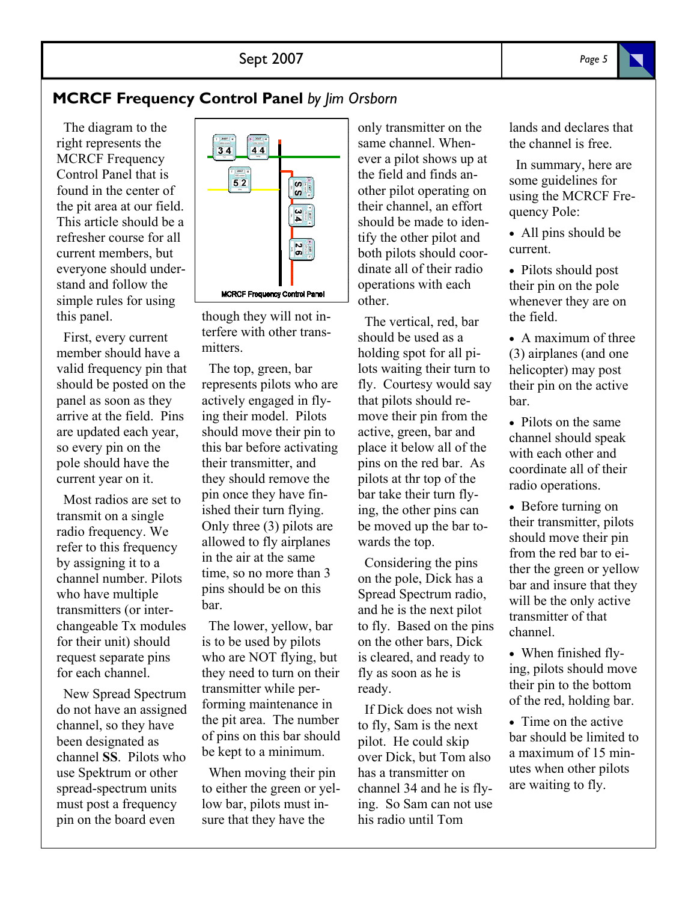## **MCRCF Frequency Control Panel** *by Jim Orsborn*

 The diagram to the right represents the MCRCF Frequency Control Panel that is found in the center of the pit area at our field. This article should be a refresher course for all current members, but everyone should understand and follow the simple rules for using this panel.

 First, every current member should have a valid frequency pin that should be posted on the panel as soon as they arrive at the field. Pins are updated each year, so every pin on the pole should have the current year on it.

 Most radios are set to transmit on a single radio frequency. We refer to this frequency by assigning it to a channel number. Pilots who have multiple transmitters (or interchangeable Tx modules for their unit) should request separate pins for each channel.

 New Spread Spectrum do not have an assigned channel, so they have been designated as channel **SS**. Pilots who use Spektrum or other spread-spectrum units must post a frequency pin on the board even



though they will not interfere with other transmitters.

 The top, green, bar represents pilots who are actively engaged in flying their model. Pilots should move their pin to this bar before activating their transmitter, and they should remove the pin once they have finished their turn flying. Only three (3) pilots are allowed to fly airplanes in the air at the same time, so no more than 3 pins should be on this bar.

 The lower, yellow, bar is to be used by pilots who are NOT flying, but they need to turn on their transmitter while performing maintenance in the pit area. The number of pins on this bar should be kept to a minimum.

 When moving their pin to either the green or yellow bar, pilots must insure that they have the

only transmitter on the same channel. Whenever a pilot shows up at the field and finds another pilot operating on their channel, an effort should be made to identify the other pilot and both pilots should coordinate all of their radio operations with each other.

 The vertical, red, bar should be used as a holding spot for all pilots waiting their turn to fly. Courtesy would say that pilots should remove their pin from the active, green, bar and place it below all of the pins on the red bar. As pilots at thr top of the bar take their turn flying, the other pins can be moved up the bar towards the top.

 Considering the pins on the pole, Dick has a Spread Spectrum radio, and he is the next pilot to fly. Based on the pins on the other bars, Dick is cleared, and ready to fly as soon as he is ready.

 If Dick does not wish to fly, Sam is the next pilot. He could skip over Dick, but Tom also has a transmitter on channel 34 and he is flying. So Sam can not use his radio until Tom

lands and declares that the channel is free.

 In summary, here are some guidelines for using the MCRCF Frequency Pole:

• All pins should be current.

• Pilots should post their pin on the pole whenever they are on the field.

• A maximum of three (3) airplanes (and one helicopter) may post their pin on the active bar.

• Pilots on the same channel should speak with each other and coordinate all of their radio operations.

• Before turning on their transmitter, pilots should move their pin from the red bar to either the green or yellow bar and insure that they will be the only active transmitter of that channel.

• When finished flying, pilots should move their pin to the bottom of the red, holding bar.

• Time on the active bar should be limited to a maximum of 15 minutes when other pilots are waiting to fly.